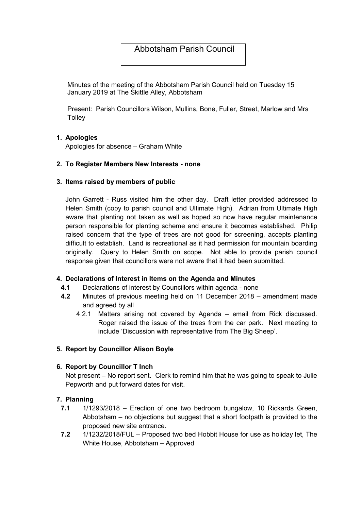# Abbotsham Parish Council

Minutes of the meeting of the Abbotsham Parish Council held on Tuesday 15 January 2019 at The Skittle Alley, Abbotsham

Present: Parish Councillors Wilson, Mullins, Bone, Fuller, Street, Marlow and Mrs **Tolley** 

## 1. Apologies

Apologies for absence – Graham White

#### 2. To Register Members New Interests - none

#### 3. Items raised by members of public

John Garrett - Russ visited him the other day. Draft letter provided addressed to Helen Smith (copy to parish council and Ultimate High). Adrian from Ultimate High aware that planting not taken as well as hoped so now have regular maintenance person responsible for planting scheme and ensure it becomes established. Philip raised concern that the type of trees are not good for screening, accepts planting difficult to establish. Land is recreational as it had permission for mountain boarding originally. Query to Helen Smith on scope. Not able to provide parish council response given that councillors were not aware that it had been submitted.

#### 4. Declarations of Interest in Items on the Agenda and Minutes

- 4.1 Declarations of interest by Councillors within agenda none
- 4.2 Minutes of previous meeting held on 11 December 2018 amendment made and agreed by all
	- 4.2.1 Matters arising not covered by Agenda email from Rick discussed. Roger raised the issue of the trees from the car park. Next meeting to include 'Discussion with representative from The Big Sheep'.

#### 5. Report by Councillor Alison Boyle

#### 6. Report by Councillor T Inch

Not present – No report sent. Clerk to remind him that he was going to speak to Julie Pepworth and put forward dates for visit.

#### 7. Planning

- 7.1 1/1293/2018 Erection of one two bedroom bungalow, 10 Rickards Green, Abbotsham – no objections but suggest that a short footpath is provided to the proposed new site entrance.
- 7.2 1/1232/2018/FUL Proposed two bed Hobbit House for use as holiday let, The White House, Abbotsham – Approved